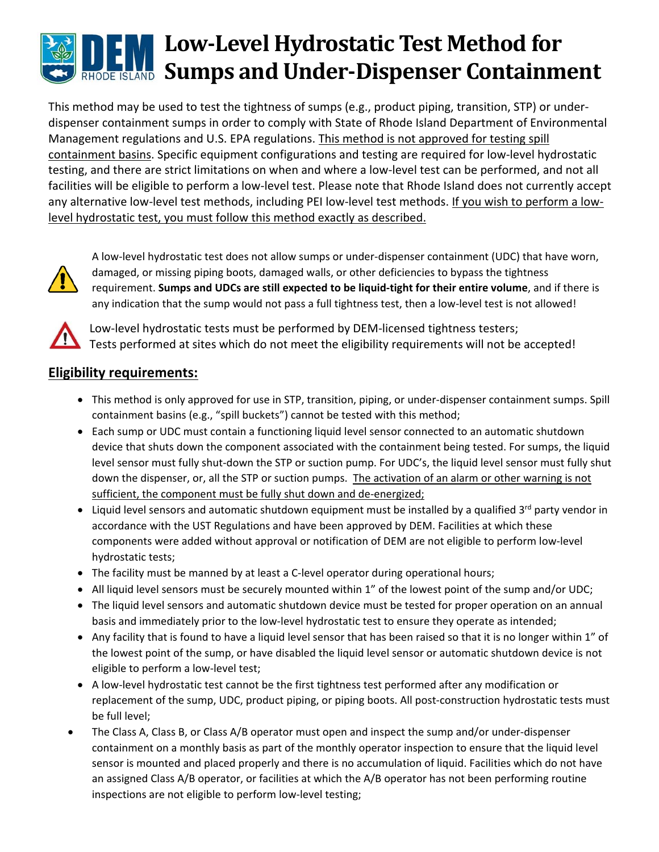# **Low-Level Hydrostatic Test Method for Sumps and Under-Dispenser Containment**

This method may be used to test the tightness of sumps (e.g., product piping, transition, STP) or under‐ dispenser containment sumps in order to comply with State of Rhode Island Department of Environmental Management regulations and U.S. EPA regulations. This method is not approved for testing spill containment basins. Specific equipment configurations and testing are required for low‐level hydrostatic testing, and there are strict limitations on when and where a low‐level test can be performed, and not all facilities will be eligible to perform a low-level test. Please note that Rhode Island does not currently accept any alternative low-level test methods, including PEI low-level test methods. If you wish to perform a lowlevel hydrostatic test, you must follow this method exactly as described.



A low‐level hydrostatic test does not allow sumps or under‐dispenser containment (UDC) that have worn, damaged, or missing piping boots, damaged walls, or other deficiencies to bypass the tightness requirement. **Sumps and UDCs are still expected to be liquid‐tight for their entire volume**, and if there is any indication that the sump would not pass a full tightness test, then a low-level test is not allowed!



Low-level hydrostatic tests must be performed by DEM-licensed tightness testers; Tests performed at sites which do not meet the eligibility requirements will not be accepted!

## **Eligibility requirements:**

- This method is only approved for use in STP, transition, piping, or under-dispenser containment sumps. Spill containment basins (e.g., "spill buckets") cannot be tested with this method;
- Each sump or UDC must contain a functioning liquid level sensor connected to an automatic shutdown device that shuts down the component associated with the containment being tested. For sumps, the liquid level sensor must fully shut‐down the STP or suction pump. For UDC's, the liquid level sensor must fully shut down the dispenser, or, all the STP or suction pumps. The activation of an alarm or other warning is not sufficient, the component must be fully shut down and de-energized;
- $\bullet$  Liquid level sensors and automatic shutdown equipment must be installed by a qualified 3<sup>rd</sup> party vendor in accordance with the UST Regulations and have been approved by DEM. Facilities at which these components were added without approval or notification of DEM are not eligible to perform low-level hydrostatic tests;
- The facility must be manned by at least a C-level operator during operational hours;
- All liquid level sensors must be securely mounted within 1" of the lowest point of the sump and/or UDC;
- The liquid level sensors and automatic shutdown device must be tested for proper operation on an annual basis and immediately prior to the low‐level hydrostatic test to ensure they operate as intended;
- Any facility that is found to have a liquid level sensor that has been raised so that it is no longer within 1" of the lowest point of the sump, or have disabled the liquid level sensor or automatic shutdown device is not eligible to perform a low‐level test;
- A low-level hydrostatic test cannot be the first tightness test performed after any modification or replacement of the sump, UDC, product piping, or piping boots. All post-construction hydrostatic tests must be full level;
- The Class A, Class B, or Class A/B operator must open and inspect the sump and/or under‐dispenser containment on a monthly basis as part of the monthly operator inspection to ensure that the liquid level sensor is mounted and placed properly and there is no accumulation of liquid. Facilities which do not have an assigned Class A/B operator, or facilities at which the A/B operator has not been performing routine inspections are not eligible to perform low‐level testing;